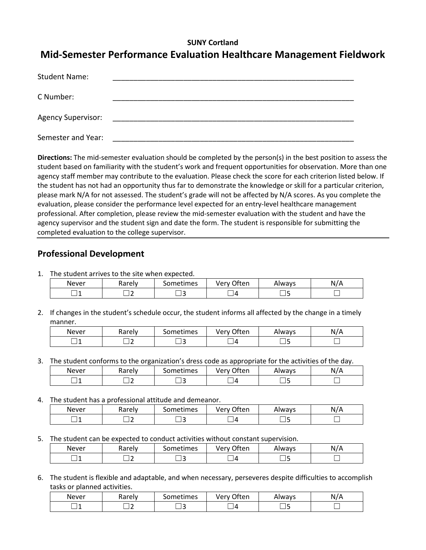#### **SUNY Cortland**

# **Mid-Semester Performance Evaluation Healthcare Management Fieldwork**

| <b>Student Name:</b>      |  |
|---------------------------|--|
| C Number:                 |  |
| <b>Agency Supervisor:</b> |  |
| Semester and Year:        |  |

**Directions:** The mid-semester evaluation should be completed by the person(s) in the best position to assess the student based on familiarity with the student's work and frequent opportunities for observation. More than one agency staff member may contribute to the evaluation. Please check the score for each criterion listed below. If the student has not had an opportunity thus far to demonstrate the knowledge or skill for a particular criterion, please mark N/A for not assessed. The student's grade will not be affected by N/A scores. As you complete the evaluation, please consider the performance level expected for an entry-level healthcare management professional. After completion, please review the mid-semester evaluation with the student and have the agency supervisor and the student sign and date the form. The student is responsible for submitting the completed evaluation to the college supervisor.

## **Professional Development**

1. The student arrives to the site when expected.

| Never | Rarely | Sometimes | Often<br>Verv<br>◡ | Always | 11 / A<br>N<br>'n |
|-------|--------|-----------|--------------------|--------|-------------------|
|       |        | ۔         | Δ                  |        |                   |

2. If changes in the student's schedule occur, the student informs all affected by the change in a timely manner.

| Never | Rarely | sometimes | つften<br>verv  | Always | N/A |
|-------|--------|-----------|----------------|--------|-----|
| ٠     |        |           | $\overline{ }$ |        |     |

3. The student conforms to the organization's dress code as appropriate for the activities of the day.

| Never        | コヘッヘー<br><b>Adieiv</b> | . .<br>iometimes | ำften<br>verv<br>$\sim$ | Always | $\cdot$<br>N |
|--------------|------------------------|------------------|-------------------------|--------|--------------|
| -----<br>. . | --                     |                  | Д<br>-<br>_             |        |              |

4. The student has a professional attitude and demeanor.

| Never | Rarely | . .<br>ometimes | ာften<br>۵۵۳۰ ت | Always | . . <i>. .</i><br>N. |
|-------|--------|-----------------|-----------------|--------|----------------------|
| __    | -      | . .             | $\prime$<br>_   |        |                      |

5. The student can be expected to conduct activities without constant supervision.

| Never | arely. | iometimes<br>71 J | <b></b> often<br>. .<br><b>Verv</b><br>$\mathbf{v}$<br>◡ | Always  | 111<br>N.<br>Р |
|-------|--------|-------------------|----------------------------------------------------------|---------|----------------|
|       | -      |                   | Д                                                        | -<br>-- |                |

6. The student is flexible and adaptable, and when necessary, perseveres despite difficulties to accomplish tasks or planned activities.

| Never | karely | . .<br>ometimes<br>יטכ | ገften<br>very | Always | N/A |
|-------|--------|------------------------|---------------|--------|-----|
| __    |        |                        |               |        |     |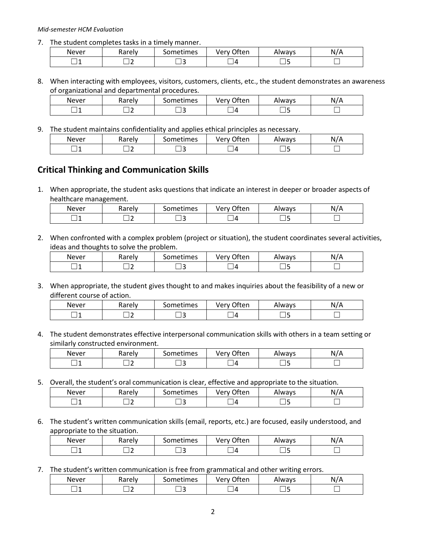#### *Mid-semester HCM Evaluation*

7. The student completes tasks in a timely manner.

| Never | <b>Davab</b><br>⊷w<br>ιαι<br>◡ | . .<br>ometimes | ገften<br>verv | Always | N. |
|-------|--------------------------------|-----------------|---------------|--------|----|
| --    | -                              | --              | $\prime$      |        |    |

8. When interacting with employees, visitors, customers, clients, etc., the student demonstrates an awareness of organizational and departmental procedures.

| Never | Rarely | -<br>. .<br>Sometimes | <b>つften</b><br><b>Ver</b> w<br>◡ | Always | N/A |
|-------|--------|-----------------------|-----------------------------------|--------|-----|
|       |        |                       | Δ                                 |        |     |

9. The student maintains confidentiality and applies ethical principles as necessary.

| Never | Rarely | Sometimes | <b>つften</b><br>ا ۱۵۲۱/ | Always | N/A |
|-------|--------|-----------|-------------------------|--------|-----|
|       | $\sim$ |           |                         | ۰      |     |

### **Critical Thinking and Communication Skills**

1. When appropriate, the student asks questions that indicate an interest in deeper or broader aspects of healthcare management.

| Never | -<br><b>Rarely</b> | . .<br>ometimesد | <b>Often</b><br>Verv | Always | N/A |
|-------|--------------------|------------------|----------------------|--------|-----|
| ×     |                    |                  | Д                    | __     |     |

2. When confronted with a complex problem (project or situation), the student coordinates several activities, ideas and thoughts to solve the problem.

| Never | Rarely | ometimes | ำften<br>verv | Always | N |
|-------|--------|----------|---------------|--------|---|
|       |        |          | Д             | .<br>_ |   |

3. When appropriate, the student gives thought to and makes inquiries about the feasibility of a new or different course of action.

| Never | <br>10001<br>vai eiv | metimes | ำften<br>ver<br>v | Always | N<br>r |
|-------|----------------------|---------|-------------------|--------|--------|
| . .   |                      | . .     |                   |        |        |

4. The student demonstrates effective interpersonal communication skills with others in a team setting or similarly constructed environment.

| Never | Rarely | iometimes | ገften<br>Verv | Always | N<br>'N |
|-------|--------|-----------|---------------|--------|---------|
|       |        |           |               |        |         |

5. Overall, the student's oral communication is clear, effective and appropriate to the situation.

| Never | Rarely | Sometimes | <b>つften</b><br>Verv | Always | ,,<br>. .<br>N/A |
|-------|--------|-----------|----------------------|--------|------------------|
| __    |        | ۔         | L                    |        |                  |

6. The student's written communication skills (email, reports, etc.) are focused, easily understood, and appropriate to the situation.

| Never | -<br>Rarely | . .<br>Sometimes | Often<br>Verv | Always | N<br>N/A |
|-------|-------------|------------------|---------------|--------|----------|
|       | -<br>--     |                  | Δ             |        |          |

7. The student's written communication is free from grammatical and other writing errors.

| Never | <b>Rarely</b> | . .<br>ometimes | ገften<br>very' | Always | N |
|-------|---------------|-----------------|----------------|--------|---|
| __    |               |                 |                |        |   |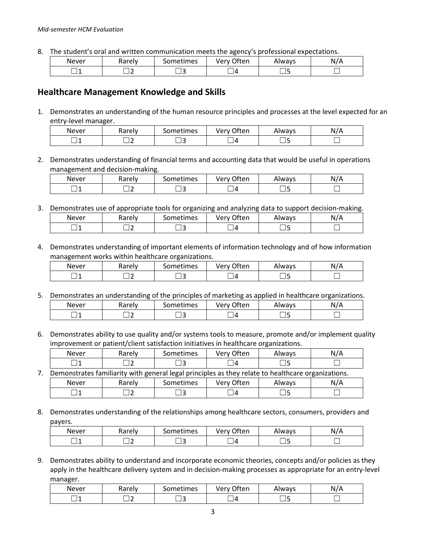8. The student's oral and written communication meets the agency's professional expectations.

| Never | Rarely | iometimes | Often<br>Verv | Always | N/L |
|-------|--------|-----------|---------------|--------|-----|
|       |        |           | Д             |        |     |

#### **Healthcare Management Knowledge and Skills**

1. Demonstrates an understanding of the human resource principles and processes at the level expected for an entry-level manager.

| Never | karely | $\sim$<br>. .<br>iometimes | ำften<br>ver<br>v | Nways | N/A |
|-------|--------|----------------------------|-------------------|-------|-----|
|       |        |                            | Д                 |       |     |

2. Demonstrates understanding of financial terms and accounting data that would be useful in operations management and decision-making.

| Never | Rarely | iometimes | ीten<br>Verv | Always | $\cdot$ . $\cdot$<br>N/A |
|-------|--------|-----------|--------------|--------|--------------------------|
| -     |        |           | л            |        |                          |

3. Demonstrates use of appropriate tools for organizing and analyzing data to support decision-making.

| Never | Rarely | sometimes | つften<br>Verv | Always | N<br>11/11 |
|-------|--------|-----------|---------------|--------|------------|
| . .   |        |           |               | __     |            |

4. Demonstrates understanding of important elements of information technology and of how information management works within healthcare organizations.

| Never | Rarely | Sometimes | ำften<br>Verv<br>ີ | Always  | N/L<br>л.<br>. |
|-------|--------|-----------|--------------------|---------|----------------|
|       |        |           | Д                  | -<br>__ |                |

5. Demonstrates an understanding of the principles of marketing as applied in healthcare organizations.

| Never | Rarely | iometimes | ገften<br><b>Verv</b><br>J | Always | N. |
|-------|--------|-----------|---------------------------|--------|----|
| -     |        | . .       | 7                         |        |    |

6. Demonstrates ability to use quality and/or systems tools to measure, promote and/or implement quality improvement or patient/client satisfaction initiatives in healthcare organizations.

| Never                                                                                              | Rarely | Sometimes | Very Often | Always | N/A |
|----------------------------------------------------------------------------------------------------|--------|-----------|------------|--------|-----|
|                                                                                                    |        |           | - ∣ 41     |        |     |
| Demonstrates familiarity with general legal principles as they relate to healthcare organizations. |        |           |            |        |     |
| <b>Never</b>                                                                                       | Rarely | Sometimes | Very Often | Always | N/A |
|                                                                                                    |        |           |            |        |     |

8. Demonstrates understanding of the relationships among healthcare sectors, consumers, providers and payers.

| Never | karely | . .<br>iometimes | ำften<br>ver | Always | N.<br>$\overline{H}$ |
|-------|--------|------------------|--------------|--------|----------------------|
|       | -      |                  | Δ            |        |                      |

9. Demonstrates ability to understand and incorporate economic theories, concepts and/or policies as they apply in the healthcare delivery system and in decision-making processes as appropriate for an entry-level manager.

| Never | Rarely | . .<br>iometimes | <b>つften</b><br>verv | Always | \ I <i>I I</i><br>N<br>H |  |
|-------|--------|------------------|----------------------|--------|--------------------------|--|
|       |        |                  | $\prime$             |        |                          |  |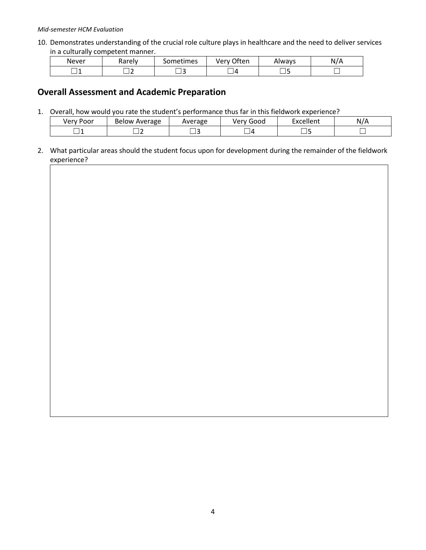#### *Mid-semester HCM Evaluation*

10. Demonstrates understanding of the crucial role culture plays in healthcare and the need to deliver services in a culturally competent manner.

| Never | Rarely | . .<br>Sometimes | Very Often | Always | N/A |
|-------|--------|------------------|------------|--------|-----|
| ×     |        |                  | Д          |        |     |

### **Overall Assessment and Academic Preparation**

1. Overall, how would you rate the student's performance thus far in this fieldwork experience?

| /۵r<br>Poor<br>v | Average<br>Below | Average | -<br>Good<br>$\sqrt{2}$ | $v$ collont<br>– v.<br>יוופוונ | N |
|------------------|------------------|---------|-------------------------|--------------------------------|---|
| __               |                  | --      | $\prime$                |                                |   |

2. What particular areas should the student focus upon for development during the remainder of the fieldwork experience?